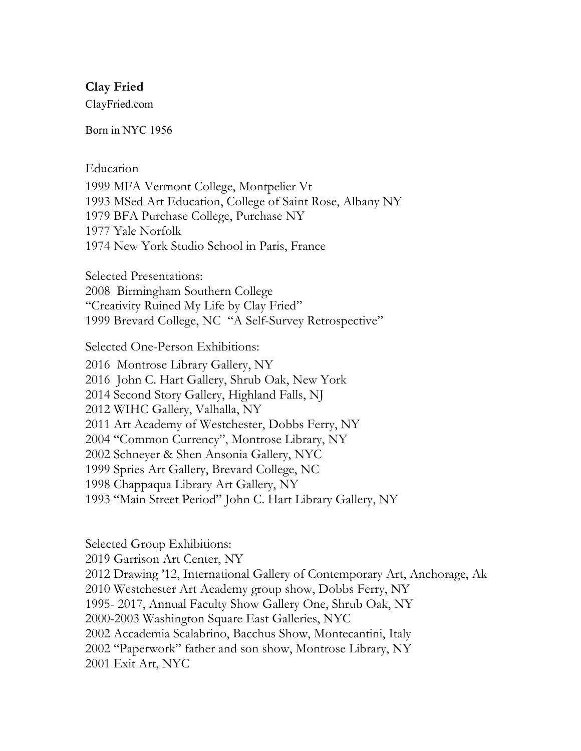## **Clay Fried**

ClayFried.com

Born in NYC 1956

Education

1999 MFA Vermont College, Montpelier Vt 1993 MSed Art Education, College of Saint Rose, Albany NY 1979 BFA Purchase College, Purchase NY 1977 Yale Norfolk 1974 New York Studio School in Paris, France

Selected Presentations: 2008 Birmingham Southern College "Creativity Ruined My Life by Clay Fried" 1999 Brevard College, NC "A Self-Survey Retrospective"

Selected One-Person Exhibitions:

2016 Montrose Library Gallery, NY 2016 John C. Hart Gallery, Shrub Oak, New York 2014 Second Story Gallery, Highland Falls, NJ 2012 WIHC Gallery, Valhalla, NY 2011 Art Academy of Westchester, Dobbs Ferry, NY 2004 "Common Currency", Montrose Library, NY 2002 Schneyer & Shen Ansonia Gallery, NYC 1999 Spries Art Gallery, Brevard College, NC 1998 Chappaqua Library Art Gallery, NY 1993 "Main Street Period" John C. Hart Library Gallery, NY

Selected Group Exhibitions:

2019 Garrison Art Center, NY 2012 Drawing '12, International Gallery of Contemporary Art, Anchorage, Ak 2010 Westchester Art Academy group show, Dobbs Ferry, NY 1995- 2017, Annual Faculty Show Gallery One, Shrub Oak, NY 2000-2003 Washington Square East Galleries, NYC 2002 Accademia Scalabrino, Bacchus Show, Montecantini, Italy 2002 "Paperwork" father and son show, Montrose Library, NY 2001 Exit Art, NYC